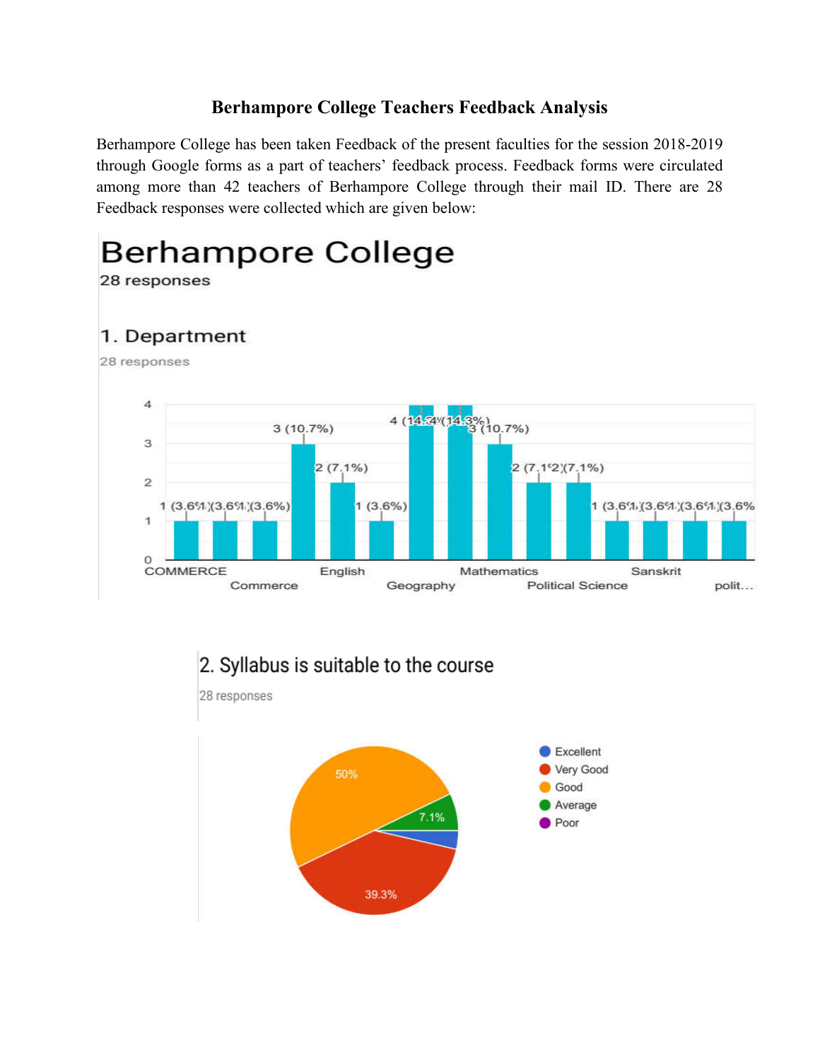## **Berhampore College Teachers Feedback Analysis**

Berhampore College has been taken Feedback of the present faculties for the session 2018-2019 through Google forms as a part of teachers' feedback process. Feedback forms were circulated among more than 42 teachers of Berhampore College through their mail ID. There are 28 Feedback responses were collected which are given below:

**Berhampore College** 





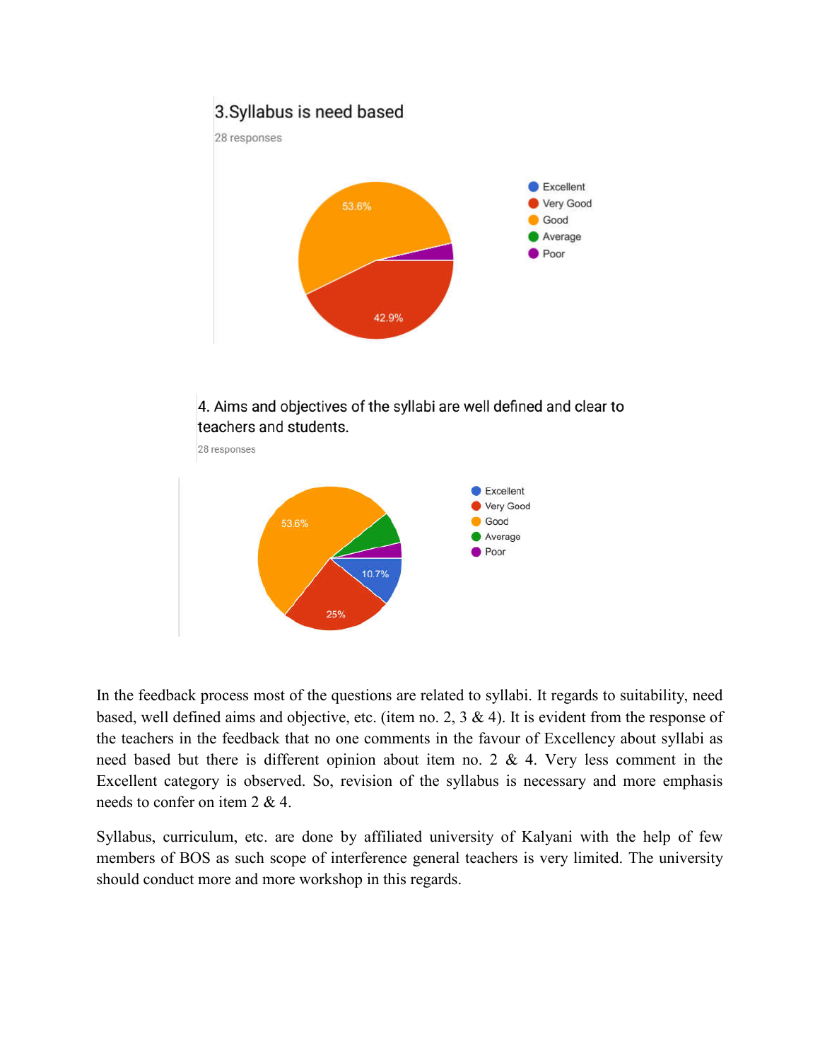### 3. Syllabus is need based





4. Aims and objectives of the syllabi are well defined and clear to teachers and students.



In the feedback process most of the questions are related to syllabi. It regards to suitability, need based, well defined aims and objective, etc. (item no. 2,  $3 \& 4$ ). It is evident from the response of the teachers in the feedback that no one comments in the favour of Excellency about syllabi as need based but there is different opinion about item no. 2 & 4. Very less comment in the Excellent category is observed. So, revision of the syllabus is necessary and more emphasis needs to confer on item 2 & 4.

Syllabus, curriculum, etc. are done by affiliated university of Kalyani with the help of few members of BOS as such scope of interference general teachers is very limited. The university should conduct more and more workshop in this regards.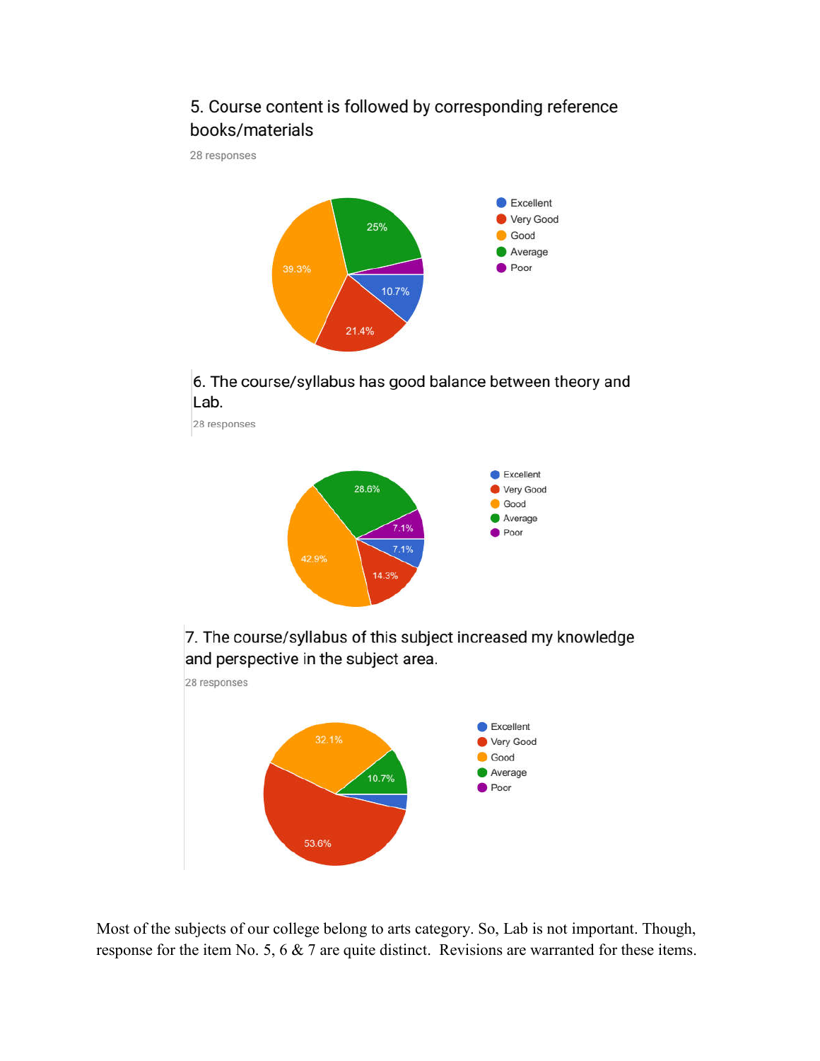# 5. Course content is followed by corresponding reference books/materials

28 responses



#### 6. The course/syllabus has good balance between theory and Lab.

28 responses



7. The course/syllabus of this subject increased my knowledge and perspective in the subject area.



Most of the subjects of our college belong to arts category. So, Lab is not important. Though, response for the item No. 5, 6  $\&$  7 are quite distinct. Revisions are warranted for these items.